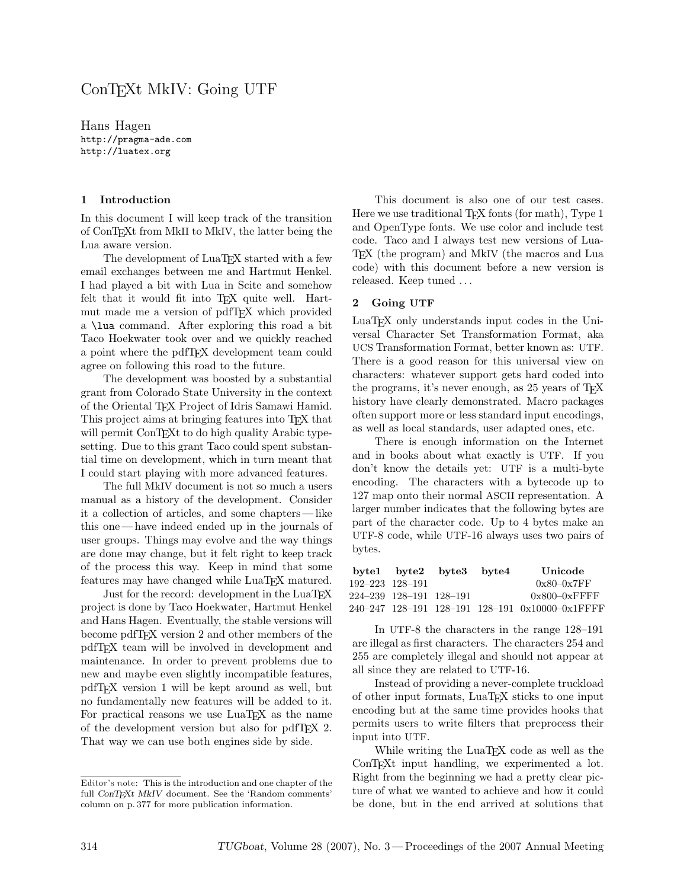## ConTEXt MkIV: Going UTF

Hans Hagen http://pragma-ade.com http://luatex.org

## 1 Introduction

In this document I will keep track of the transition of ConTEXt from MkII to MkIV, the latter being the Lua aware version.

The development of LuaTEX started with a few email exchanges between me and Hartmut Henkel. I had played a bit with Lua in Scite and somehow felt that it would fit into T<sub>F</sub>X quite well. Hartmut made me a version of pdfTEX which provided a \lua command. After exploring this road a bit Taco Hoekwater took over and we quickly reached a point where the pdfTEX development team could agree on following this road to the future.

The development was boosted by a substantial grant from Colorado State University in the context of the Oriental TEX Project of Idris Samawi Hamid. This project aims at bringing features into TEX that will permit ConT<sub>E</sub>Xt to do high quality Arabic typesetting. Due to this grant Taco could spent substantial time on development, which in turn meant that I could start playing with more advanced features.

The full MkIV document is not so much a users manual as a history of the development. Consider it a collection of articles, and some chapters— like this one— have indeed ended up in the journals of user groups. Things may evolve and the way things are done may change, but it felt right to keep track of the process this way. Keep in mind that some features may have changed while LuaTFX matured.

Just for the record: development in the LuaT<sub>EX</sub> project is done by Taco Hoekwater, Hartmut Henkel and Hans Hagen. Eventually, the stable versions will become pdfTEX version 2 and other members of the pdfTEX team will be involved in development and maintenance. In order to prevent problems due to new and maybe even slightly incompatible features, pdfTEX version 1 will be kept around as well, but no fundamentally new features will be added to it. For practical reasons we use LuaT<sub>EX</sub> as the name of the development version but also for pdfTEX 2. That way we can use both engines side by side.

Editor's note: This is the introduction and one chapter of the full ConTEXt MkIV document. See the 'Random comments' column on p. 377 for more publication information.

This document is also one of our test cases. Here we use traditional T<sub>E</sub>X fonts (for math), Type 1 and OpenType fonts. We use color and include test code. Taco and I always test new versions of Lua-TEX (the program) and MkIV (the macros and Lua code) with this document before a new version is released. Keep tuned . . .

## 2 Going UTF

LuaTEX only understands input codes in the Universal Character Set Transformation Format, aka UCS Transformation Format, better known as: UTF. There is a good reason for this universal view on characters: whatever support gets hard coded into the programs, it's never enough, as 25 years of TEX history have clearly demonstrated. Macro packages often support more or less standard input encodings, as well as local standards, user adapted ones, etc.

There is enough information on the Internet and in books about what exactly is UTF. If you don't know the details yet: UTF is a multi-byte encoding. The characters with a bytecode up to 127 map onto their normal ASCII representation. A larger number indicates that the following bytes are part of the character code. Up to 4 bytes make an UTF-8 code, while UTF-16 always uses two pairs of bytes.

|                 |                         | byte1 byte2 byte3 byte4 | Unicode                                         |
|-----------------|-------------------------|-------------------------|-------------------------------------------------|
| 192-223 128-191 |                         |                         | $0x80-0x7FF$                                    |
|                 | 224-239 128-191 128-191 |                         | $0x800 - 0x$ FFFF                               |
|                 |                         |                         | 240-247 128-191 128-191 128-191 0x10000-0x1FFFF |

In UTF-8 the characters in the range 128–191 are illegal as first characters. The characters 254 and 255 are completely illegal and should not appear at all since they are related to UTF-16.

Instead of providing a never-complete truckload of other input formats, LuaTEX sticks to one input encoding but at the same time provides hooks that permits users to write filters that preprocess their input into UTF.

While writing the LuaT<sub>E</sub>X code as well as the ConT<sub>E</sub>X<sup>t</sup> input handling, we experimented a lot. Right from the beginning we had a pretty clear picture of what we wanted to achieve and how it could be done, but in the end arrived at solutions that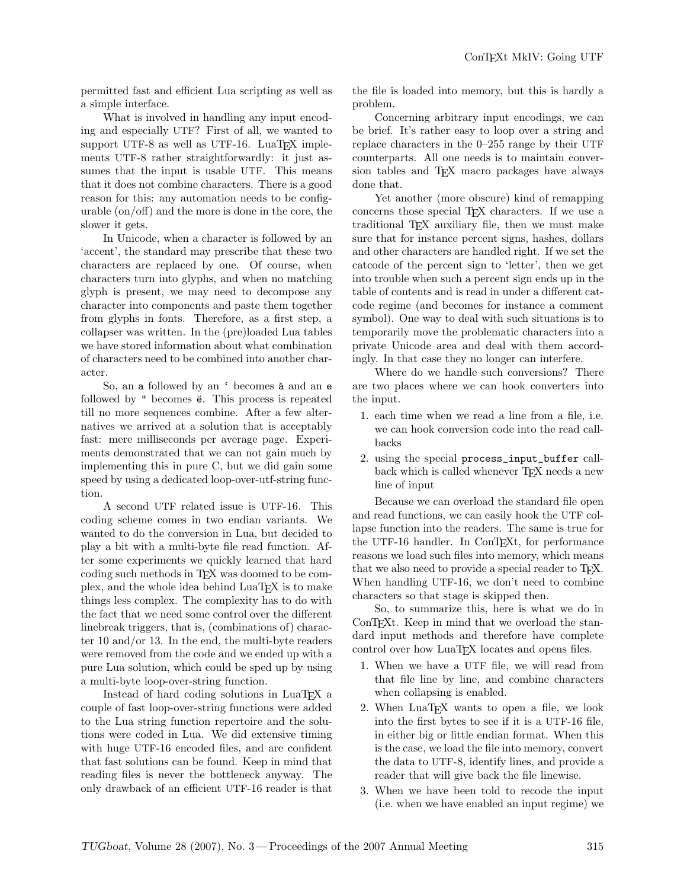permitted fast and efficient Lua scripting as well as a simple interface.

What is involved in handling any input encoding and especially UTF? First of all, we wanted to support UTF-8 as well as UTF-16. LuaT<sub>F</sub>X implements UTF-8 rather straightforwardly: it just assumes that the input is usable UTF. This means that it does not combine characters. There is a good reason for this: any automation needs to be configurable (on/off) and the more is done in the core, the slower it gets.

In Unicode, when a character is followed by an 'accent', the standard may prescribe that these two characters are replaced by one. Of course, when characters turn into glyphs, and when no matching glyph is present, we may need to decompose any character into components and paste them together from glyphs in fonts. Therefore, as a first step, a collapser was written. In the (pre)loaded Lua tables we have stored information about what combination of characters need to be combined into another character.

So, an a followed by an  $\prime$  becomes  $\lambda$  and an e followed by " becomes  $\ddot{e}$ . This process is repeated till no more sequences combine. After a few alternatives we arrived at a solution that is acceptably fast: mere milliseconds per average page. Experiments demonstrated that we can not gain much by implementing this in pure C, but we did gain some speed by using a dedicated loop-over-utf-string function.

A second UTF related issue is UTF-16. This coding scheme comes in two endian variants. We wanted to do the conversion in Lua, but decided to play a bit with a multi-byte file read function. After some experiments we quickly learned that hard coding such methods in TEX was doomed to be complex, and the whole idea behind LuaTEX is to make things less complex. The complexity has to do with the fact that we need some control over the different linebreak triggers, that is, (combinations of) character 10 and/or 13. In the end, the multi-byte readers were removed from the code and we ended up with a pure Lua solution, which could be sped up by using a multi-byte loop-over-string function.

Instead of hard coding solutions in LuaTEX a couple of fast loop-over-string functions were added to the Lua string function repertoire and the solutions were coded in Lua. We did extensive timing with huge UTF-16 encoded files, and are confident that fast solutions can be found. Keep in mind that reading files is never the bottleneck anyway. The only drawback of an efficient UTF-16 reader is that

the file is loaded into memory, but this is hardly a problem.

Concerning arbitrary input encodings, we can be brief. It's rather easy to loop over a string and replace characters in the 0–255 range by their UTF counterparts. All one needs is to maintain conversion tables and TEX macro packages have always done that.

Yet another (more obscure) kind of remapping concerns those special T<sub>EX</sub> characters. If we use a traditional TEX auxiliary file, then we must make sure that for instance percent signs, hashes, dollars and other characters are handled right. If we set the catcode of the percent sign to 'letter', then we get into trouble when such a percent sign ends up in the table of contents and is read in under a different catcode regime (and becomes for instance a comment symbol). One way to deal with such situations is to temporarily move the problematic characters into a private Unicode area and deal with them accordingly. In that case they no longer can interfere.

Where do we handle such conversions? There are two places where we can hook converters into the input.

- 1. each time when we read a line from a file, i.e. we can hook conversion code into the read callbacks
- 2. using the special process\_input\_buffer callback which is called whenever T<sub>EX</sub> needs a new line of input

Because we can overload the standard file open and read functions, we can easily hook the UTF collapse function into the readers. The same is true for the UTF-16 handler. In ConTEXt, for performance reasons we load such files into memory, which means that we also need to provide a special reader to T<sub>E</sub>X. When handling UTF-16, we don't need to combine characters so that stage is skipped then.

So, to summarize this, here is what we do in ConTEXt. Keep in mind that we overload the standard input methods and therefore have complete control over how LuaTEX locates and opens files.

- 1. When we have a UTF file, we will read from that file line by line, and combine characters when collapsing is enabled.
- 2. When LuaTEX wants to open a file, we look into the first bytes to see if it is a UTF-16 file, in either big or little endian format. When this is the case, we load the file into memory, convert the data to UTF-8, identify lines, and provide a reader that will give back the file linewise.
- 3. When we have been told to recode the input (i.e. when we have enabled an input regime) we